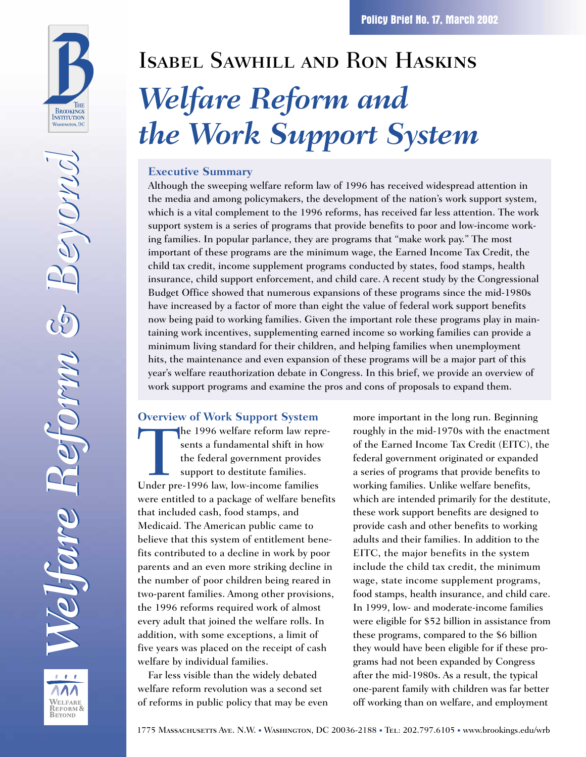

REFORM & **BEYOND** 

# Isabel Sawhill and Ron Haskins *Welfare Reform and the Work Support System*

#### **Executive Summary**

Although the sweeping welfare reform law of 1996 has received widespread attention in the media and among policymakers, the development of the nation's work support system, which is a vital complement to the 1996 reforms, has received far less attention. The work support system is a series of programs that provide benefits to poor and low-income working families. In popular parlance, they are programs that "make work pay." The most important of these programs are the minimum wage, the Earned Income Tax Credit, the child tax credit, income supplement programs conducted by states, food stamps, health insurance, child support enforcement, and child care. A recent study by the Congressional Budget Office showed that numerous expansions of these programs since the mid-1980s have increased by a factor of more than eight the value of federal work support benefits now being paid to working families. Given the important role these programs play in maintaining work incentives, supplementing earned income so working families can provide a minimum living standard for their children, and helping families when unemployment hits, the maintenance and even expansion of these programs will be a major part of this year's welfare reauthorization debate in Congress. In this brief, we provide an overview of work support programs and examine the pros and cons of proposals to expand them.

#### **Overview of Work Support System**

The 1996 welfare reform law represents a fundamental shift in how<br>the federal government provides<br>support to destitute families.<br>Under pre-1996 law, low-income families sents a fundamental shift in how the federal government provides support to destitute families. were entitled to a package of welfare benefits that included cash, food stamps, and Medicaid. The American public came to believe that this system of entitlement benefits contributed to a decline in work by poor parents and an even more striking decline in the number of poor children being reared in two-parent families. Among other provisions, the 1996 reforms required work of almost every adult that joined the welfare rolls. In addition, with some exceptions, a limit of five years was placed on the receipt of cash welfare by individual families.

Far less visible than the widely debated welfare reform revolution was a second set of reforms in public policy that may be even more important in the long run. Beginning roughly in the mid-1970s with the enactment of the Earned Income Tax Credit (EITC), the federal government originated or expanded a series of programs that provide benefits to working families. Unlike welfare benefits, which are intended primarily for the destitute, these work support benefits are designed to provide cash and other benefits to working adults and their families. In addition to the EITC, the major benefits in the system include the child tax credit, the minimum wage, state income supplement programs, food stamps, health insurance, and child care. In 1999, low- and moderate-income families were eligible for \$52 billion in assistance from these programs, compared to the \$6 billion they would have been eligible for if these programs had not been expanded by Congress after the mid-1980s. As a result, the typical one-parent family with children was far better off working than on welfare, and employment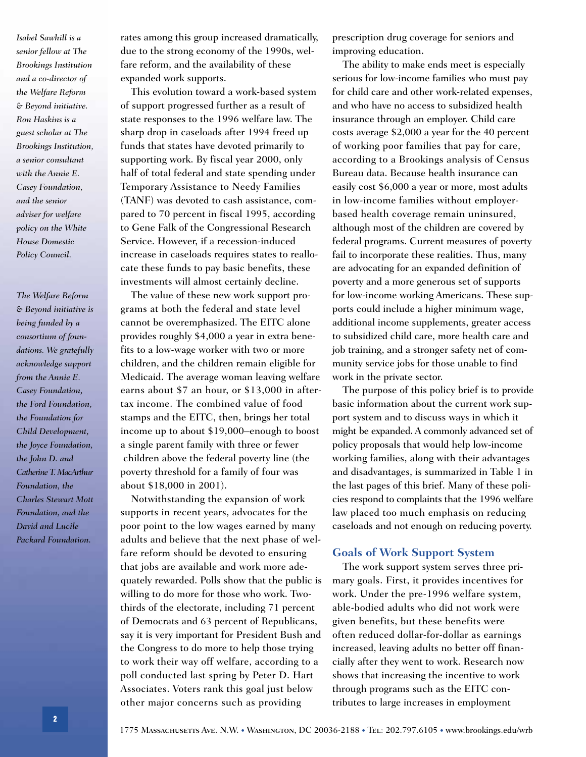*Isabel Sawhill is a senior fellow at The Brookings Institution and a co-director of the Welfare Reform & Beyond initiative. Ron Haskins is a guest scholar at The Brookings Institution, a senior consultant with the Annie E. Casey Foundation, and the senior adviser for welfare policy on the White House Domestic Policy Council.* 

*The Welfare Reform & Beyond initiative is being funded by a consortium of foundations. We gratefully acknowledge support from the Annie E. Casey Foundation, the Ford Foundation, the Foundation for Child Development, the Joyce Foundation, the John D. and Catherine T. MacArthur Foundation, the Charles Stewart Mott Foundation, and the David and Lucile Packard Foundation.*

rates among this group increased dramatically, due to the strong economy of the 1990s, welfare reform, and the availability of these expanded work supports.

This evolution toward a work-based system of support progressed further as a result of state responses to the 1996 welfare law. The sharp drop in caseloads after 1994 freed up funds that states have devoted primarily to supporting work. By fiscal year 2000, only half of total federal and state spending under Temporary Assistance to Needy Families (TANF) was devoted to cash assistance, compared to 70 percent in fiscal 1995, according to Gene Falk of the Congressional Research Service. However, if a recession-induced increase in caseloads requires states to reallocate these funds to pay basic benefits, these investments will almost certainly decline.

The value of these new work support programs at both the federal and state level cannot be overemphasized. The EITC alone provides roughly \$4,000 a year in extra benefits to a low-wage worker with two or more children, and the children remain eligible for Medicaid. The average woman leaving welfare earns about \$7 an hour, or \$13,000 in aftertax income. The combined value of food stamps and the EITC, then, brings her total income up to about \$19,000–enough to boost a single parent family with three or fewer children above the federal poverty line (the poverty threshold for a family of four was about \$18,000 in 2001).

Notwithstanding the expansion of work supports in recent years, advocates for the poor point to the low wages earned by many adults and believe that the next phase of welfare reform should be devoted to ensuring that jobs are available and work more adequately rewarded. Polls show that the public is willing to do more for those who work. Twothirds of the electorate, including 71 percent of Democrats and 63 percent of Republicans, say it is very important for President Bush and the Congress to do more to help those trying to work their way off welfare, according to a poll conducted last spring by Peter D. Hart Associates. Voters rank this goal just below other major concerns such as providing

prescription drug coverage for seniors and improving education.

The ability to make ends meet is especially serious for low-income families who must pay for child care and other work-related expenses, and who have no access to subsidized health insurance through an employer. Child care costs average \$2,000 a year for the 40 percent of working poor families that pay for care, according to a Brookings analysis of Census Bureau data. Because health insurance can easily cost \$6,000 a year or more, most adults in low-income families without employerbased health coverage remain uninsured, although most of the children are covered by federal programs. Current measures of poverty fail to incorporate these realities. Thus, many are advocating for an expanded definition of poverty and a more generous set of supports for low-income working Americans. These supports could include a higher minimum wage, additional income supplements, greater access to subsidized child care, more health care and job training, and a stronger safety net of community service jobs for those unable to find work in the private sector.

The purpose of this policy brief is to provide basic information about the current work support system and to discuss ways in which it might be expanded. A commonly advanced set of policy proposals that would help low-income working families, along with their advantages and disadvantages, is summarized in Table 1 in the last pages of this brief. Many of these policies respond to complaints that the 1996 welfare law placed too much emphasis on reducing caseloads and not enough on reducing poverty.

#### **Goals of Work Support System**

The work support system serves three primary goals. First, it provides incentives for work. Under the pre-1996 welfare system, able-bodied adults who did not work were given benefits, but these benefits were often reduced dollar-for-dollar as earnings increased, leaving adults no better off financially after they went to work. Research now shows that increasing the incentive to work through programs such as the EITC contributes to large increases in employment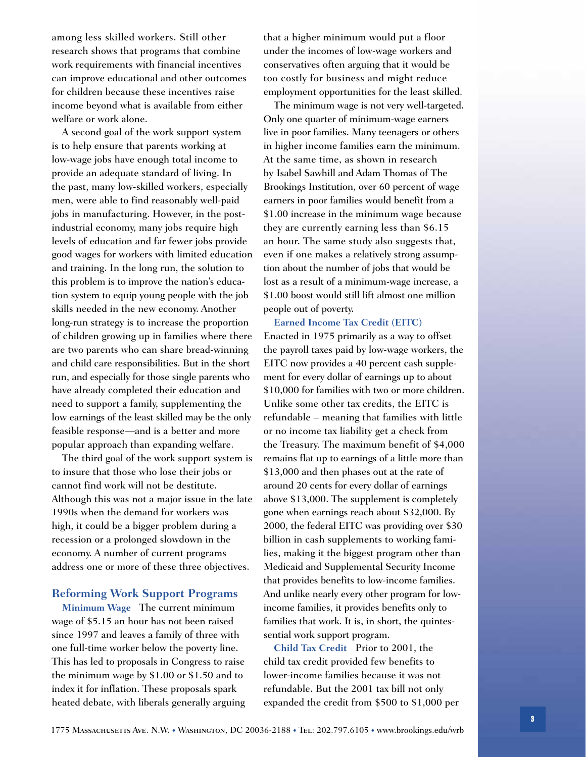among less skilled workers. Still other research shows that programs that combine work requirements with financial incentives can improve educational and other outcomes for children because these incentives raise income beyond what is available from either welfare or work alone.

A second goal of the work support system is to help ensure that parents working at low-wage jobs have enough total income to provide an adequate standard of living. In the past, many low-skilled workers, especially men, were able to find reasonably well-paid jobs in manufacturing. However, in the postindustrial economy, many jobs require high levels of education and far fewer jobs provide good wages for workers with limited education and training. In the long run, the solution to this problem is to improve the nation's education system to equip young people with the job skills needed in the new economy. Another long-run strategy is to increase the proportion of children growing up in families where there are two parents who can share bread-winning and child care responsibilities. But in the short run, and especially for those single parents who have already completed their education and need to support a family, supplementing the low earnings of the least skilled may be the only feasible response—and is a better and more popular approach than expanding welfare.

The third goal of the work support system is to insure that those who lose their jobs or cannot find work will not be destitute. Although this was not a major issue in the late 1990s when the demand for workers was high, it could be a bigger problem during a recession or a prolonged slowdown in the economy. A number of current programs address one or more of these three objectives.

#### **Reforming Work Support Programs**

**Minimum Wage** The current minimum wage of \$5.15 an hour has not been raised since 1997 and leaves a family of three with one full-time worker below the poverty line. This has led to proposals in Congress to raise the minimum wage by \$1.00 or \$1.50 and to index it for inflation. These proposals spark heated debate, with liberals generally arguing that a higher minimum would put a floor under the incomes of low-wage workers and conservatives often arguing that it would be too costly for business and might reduce employment opportunities for the least skilled.

The minimum wage is not very well-targeted. Only one quarter of minimum-wage earners live in poor families. Many teenagers or others in higher income families earn the minimum. At the same time, as shown in research by Isabel Sawhill and Adam Thomas of The Brookings Institution, over 60 percent of wage earners in poor families would benefit from a \$1.00 increase in the minimum wage because they are currently earning less than \$6.15 an hour. The same study also suggests that, even if one makes a relatively strong assumption about the number of jobs that would be lost as a result of a minimum-wage increase, a \$1.00 boost would still lift almost one million people out of poverty.

**Earned Income Tax Credit (EITC)** Enacted in 1975 primarily as a way to offset the payroll taxes paid by low-wage workers, the EITC now provides a 40 percent cash supplement for every dollar of earnings up to about \$10,000 for families with two or more children. Unlike some other tax credits, the EITC is refundable – meaning that families with little or no income tax liability get a check from the Treasury. The maximum benefit of \$4,000 remains flat up to earnings of a little more than \$13,000 and then phases out at the rate of around 20 cents for every dollar of earnings above \$13,000. The supplement is completely gone when earnings reach about \$32,000. By 2000, the federal EITC was providing over \$30 billion in cash supplements to working families, making it the biggest program other than Medicaid and Supplemental Security Income that provides benefits to low-income families. And unlike nearly every other program for lowincome families, it provides benefits only to families that work. It is, in short, the quintessential work support program.

**Child Tax Credit** Prior to 2001, the child tax credit provided few benefits to lower-income families because it was not refundable. But the 2001 tax bill not only expanded the credit from \$500 to \$1,000 per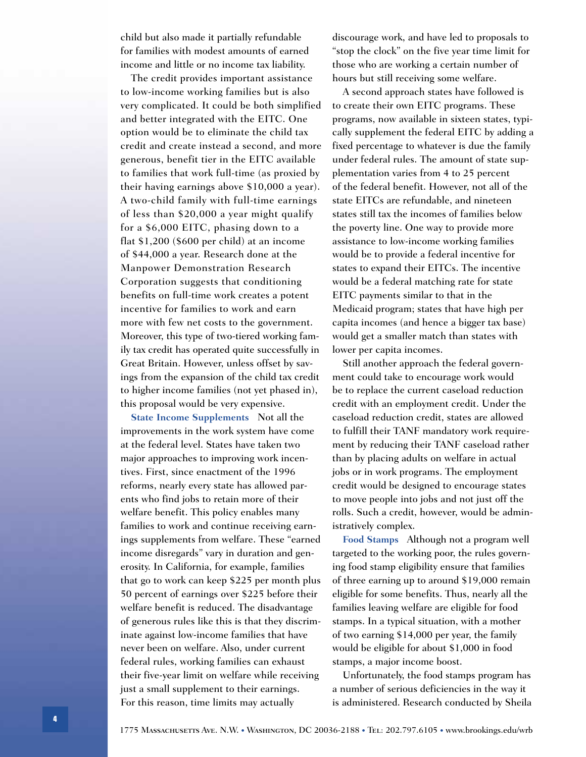child but also made it partially refundable for families with modest amounts of earned income and little or no income tax liability.

The credit provides important assistance to low-income working families but is also very complicated. It could be both simplified and better integrated with the EITC. One option would be to eliminate the child tax credit and create instead a second, and more generous, benefit tier in the EITC available to families that work full-time (as proxied by their having earnings above \$10,000 a year). A two-child family with full-time earnings of less than \$20,000 a year might qualify for a \$6,000 EITC, phasing down to a flat \$1,200 (\$600 per child) at an income of \$44,000 a year. Research done at the Manpower Demonstration Research Corporation suggests that conditioning benefits on full-time work creates a potent incentive for families to work and earn more with few net costs to the government. Moreover, this type of two-tiered working family tax credit has operated quite successfully in Great Britain. However, unless offset by savings from the expansion of the child tax credit to higher income families (not yet phased in), this proposal would be very expensive.

**State Income Supplements** Not all the improvements in the work system have come at the federal level. States have taken two major approaches to improving work incentives. First, since enactment of the 1996 reforms, nearly every state has allowed parents who find jobs to retain more of their welfare benefit. This policy enables many families to work and continue receiving earnings supplements from welfare. These "earned income disregards" vary in duration and generosity. In California, for example, families that go to work can keep \$225 per month plus 50 percent of earnings over \$225 before their welfare benefit is reduced. The disadvantage of generous rules like this is that they discriminate against low-income families that have never been on welfare. Also, under current federal rules, working families can exhaust their five-year limit on welfare while receiving just a small supplement to their earnings. For this reason, time limits may actually

discourage work, and have led to proposals to "stop the clock" on the five year time limit for those who are working a certain number of hours but still receiving some welfare.

A second approach states have followed is to create their own EITC programs. These programs, now available in sixteen states, typically supplement the federal EITC by adding a fixed percentage to whatever is due the family under federal rules. The amount of state supplementation varies from 4 to 25 percent of the federal benefit. However, not all of the state EITCs are refundable, and nineteen states still tax the incomes of families below the poverty line. One way to provide more assistance to low-income working families would be to provide a federal incentive for states to expand their EITCs. The incentive would be a federal matching rate for state EITC payments similar to that in the Medicaid program; states that have high per capita incomes (and hence a bigger tax base) would get a smaller match than states with lower per capita incomes.

Still another approach the federal government could take to encourage work would be to replace the current caseload reduction credit with an employment credit. Under the caseload reduction credit, states are allowed to fulfill their TANF mandatory work requirement by reducing their TANF caseload rather than by placing adults on welfare in actual jobs or in work programs. The employment credit would be designed to encourage states to move people into jobs and not just off the rolls. Such a credit, however, would be administratively complex.

**Food Stamps** Although not a program well targeted to the working poor, the rules governing food stamp eligibility ensure that families of three earning up to around \$19,000 remain eligible for some benefits. Thus, nearly all the families leaving welfare are eligible for food stamps. In a typical situation, with a mother of two earning \$14,000 per year, the family would be eligible for about \$1,000 in food stamps, a major income boost.

Unfortunately, the food stamps program has a number of serious deficiencies in the way it is administered. Research conducted by Sheila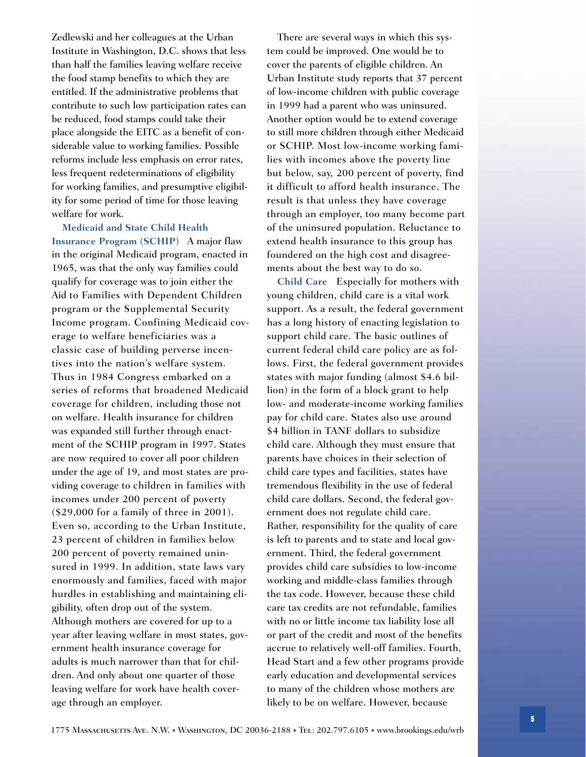Zedlewski and her colleagues at the Urban Institute in Washington, D.C. shows that less than half the families leaving welfare receive the food stamp benefits to which they are entitled. If the administrative problems that contribute to such low participation rates can be reduced, food stamps could take their place alongside the EITC as a benefit of considerable value to working families. Possible reforms include less emphasis on error rates, less frequent redeterminations of eligibility for working families, and presumptive eligibility for some period of time for those leaving welfare for work.

**Medicaid and State Child Health Insurance Program (SCHIP)** A major flaw in the original Medicaid program, enacted in 1965, was that the only way families could qualify for coverage was to join either the Aid to Families with Dependent Children program or the Supplemental Security Income program. Confining Medicaid coverage to welfare beneficiaries was a classic case of building perverse incentives into the nation's welfare system. Thus in 1984 Congress embarked on a series of reforms that broadened Medicaid coverage for children, including those not on welfare. Health insurance for children was expanded still further through enactment of the SCHIP program in 1997. States are now required to cover all poor children under the age of 19, and most states are providing coverage to children in families with incomes under 200 percent of poverty (\$29,000 for a family of three in 2001). Even so, according to the Urban Institute, 23 percent of children in families below 200 percent of poverty remained uninsured in 1999. In addition, state laws vary enormously and families, faced with major hurdles in establishing and maintaining eligibility, often drop out of the system. Although mothers are covered for up to a year after leaving welfare in most states, government health insurance coverage for adults is much narrower than that for children. And only about one quarter of those leaving welfare for work have health coverage through an employer.

There are several ways in which this system could be improved. One would be to cover the parents of eligible children. An Urban Institute study reports that 37 percent of low-income children with public coverage in 1999 had a parent who was uninsured. Another option would be to extend coverage to still more children through either Medicaid or SCHIP. Most low-income working families with incomes above the poverty line but below, say, 200 percent of poverty, find it difficult to afford health insurance. The result is that unless they have coverage through an employer, too many become part of the uninsured population. Reluctance to extend health insurance to this group has foundered on the high cost and disagreements about the best way to do so.

**Child Care** Especially for mothers with young children, child care is a vital work support. As a result, the federal government has a long history of enacting legislation to support child care. The basic outlines of current federal child care policy are as follows. First, the federal government provides states with major funding (almost \$4.6 billion) in the form of a block grant to help low- and moderate-income working families pay for child care. States also use around \$4 billion in TANF dollars to subsidize child care. Although they must ensure that parents have choices in their selection of child care types and facilities, states have tremendous flexibility in the use of federal child care dollars. Second, the federal government does not regulate child care. Rather, responsibility for the quality of care is left to parents and to state and local government. Third, the federal government provides child care subsidies to low-income working and middle-class families through the tax code. However, because these child care tax credits are not refundable, families with no or little income tax liability lose all or part of the credit and most of the benefits accrue to relatively well-off families. Fourth, Head Start and a few other programs provide early education and developmental services to many of the children whose mothers are likely to be on welfare. However, because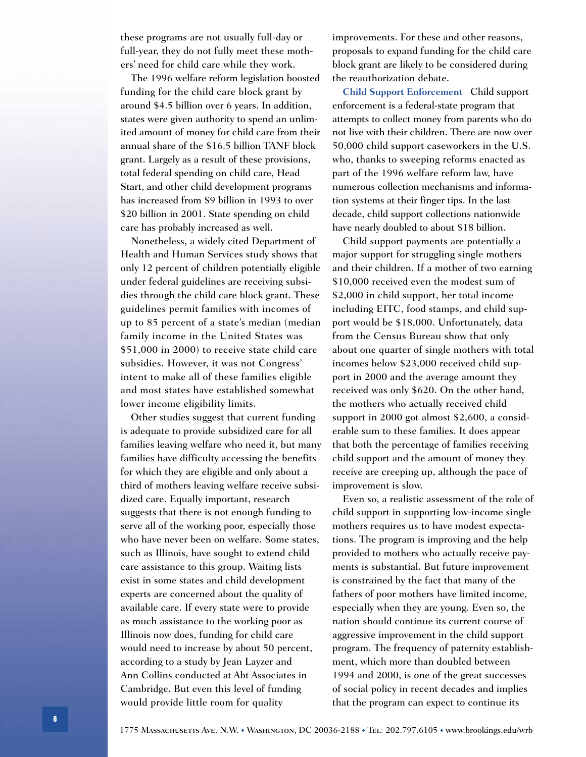these programs are not usually full-day or full-year, they do not fully meet these mothers' need for child care while they work.

The 1996 welfare reform legislation boosted funding for the child care block grant by around \$4.5 billion over 6 years. In addition, states were given authority to spend an unlimited amount of money for child care from their annual share of the \$16.5 billion TANF block grant. Largely as a result of these provisions, total federal spending on child care, Head Start, and other child development programs has increased from \$9 billion in 1993 to over \$20 billion in 2001. State spending on child care has probably increased as well.

Nonetheless, a widely cited Department of Health and Human Services study shows that only 12 percent of children potentially eligible under federal guidelines are receiving subsidies through the child care block grant. These guidelines permit families with incomes of up to 85 percent of a state's median (median family income in the United States was \$51,000 in 2000) to receive state child care subsidies. However, it was not Congress' intent to make all of these families eligible and most states have established somewhat lower income eligibility limits.

Other studies suggest that current funding is adequate to provide subsidized care for all families leaving welfare who need it, but many families have difficulty accessing the benefits for which they are eligible and only about a third of mothers leaving welfare receive subsidized care. Equally important, research suggests that there is not enough funding to serve all of the working poor, especially those who have never been on welfare. Some states, such as Illinois, have sought to extend child care assistance to this group. Waiting lists exist in some states and child development experts are concerned about the quality of available care. If every state were to provide as much assistance to the working poor as Illinois now does, funding for child care would need to increase by about 50 percent, according to a study by Jean Layzer and Ann Collins conducted at Abt Associates in Cambridge. But even this level of funding would provide little room for quality

improvements. For these and other reasons, proposals to expand funding for the child care block grant are likely to be considered during the reauthorization debate.

**Child Support Enforcement** Child support enforcement is a federal-state program that attempts to collect money from parents who do not live with their children. There are now over 50,000 child support caseworkers in the U.S. who, thanks to sweeping reforms enacted as part of the 1996 welfare reform law, have numerous collection mechanisms and information systems at their finger tips. In the last decade, child support collections nationwide have nearly doubled to about \$18 billion.

Child support payments are potentially a major support for struggling single mothers and their children. If a mother of two earning \$10,000 received even the modest sum of \$2,000 in child support, her total income including EITC, food stamps, and child support would be \$18,000. Unfortunately, data from the Census Bureau show that only about one quarter of single mothers with total incomes below \$23,000 received child support in 2000 and the average amount they received was only \$620. On the other hand, the mothers who actually received child support in 2000 got almost \$2,600, a considerable sum to these families. It does appear that both the percentage of families receiving child support and the amount of money they receive are creeping up, although the pace of improvement is slow.

Even so, a realistic assessment of the role of child support in supporting low-income single mothers requires us to have modest expectations. The program is improving and the help provided to mothers who actually receive payments is substantial. But future improvement is constrained by the fact that many of the fathers of poor mothers have limited income, especially when they are young. Even so, the nation should continue its current course of aggressive improvement in the child support program. The frequency of paternity establishment, which more than doubled between 1994 and 2000, is one of the great successes of social policy in recent decades and implies that the program can expect to continue its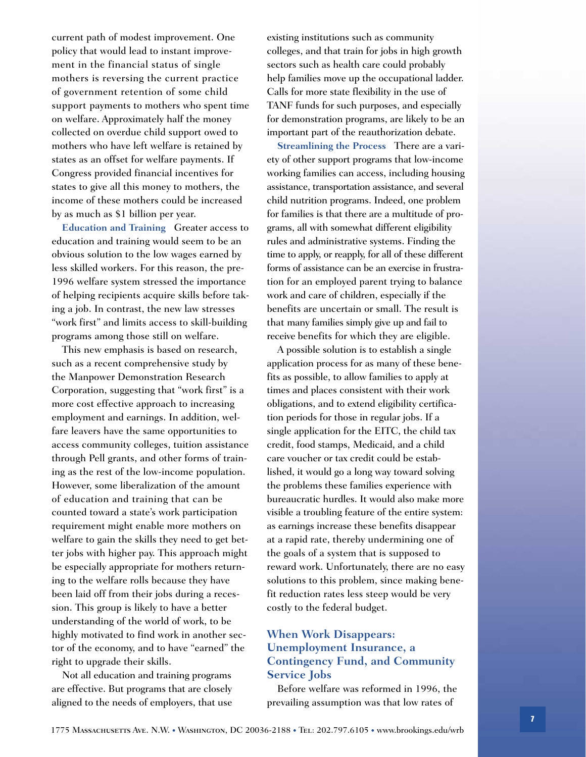current path of modest improvement. One policy that would lead to instant improvement in the financial status of single mothers is reversing the current practice of government retention of some child support payments to mothers who spent time on welfare. Approximately half the money collected on overdue child support owed to mothers who have left welfare is retained by states as an offset for welfare payments. If Congress provided financial incentives for states to give all this money to mothers, the income of these mothers could be increased by as much as \$1 billion per year.

**Education and Training** Greater access to education and training would seem to be an obvious solution to the low wages earned by less skilled workers. For this reason, the pre-1996 welfare system stressed the importance of helping recipients acquire skills before taking a job. In contrast, the new law stresses "work first" and limits access to skill-building programs among those still on welfare.

This new emphasis is based on research, such as a recent comprehensive study by the Manpower Demonstration Research Corporation, suggesting that "work first" is a more cost effective approach to increasing employment and earnings. In addition, welfare leavers have the same opportunities to access community colleges, tuition assistance through Pell grants, and other forms of training as the rest of the low-income population. However, some liberalization of the amount of education and training that can be counted toward a state's work participation requirement might enable more mothers on welfare to gain the skills they need to get better jobs with higher pay. This approach might be especially appropriate for mothers returning to the welfare rolls because they have been laid off from their jobs during a recession. This group is likely to have a better understanding of the world of work, to be highly motivated to find work in another sector of the economy, and to have "earned" the right to upgrade their skills.

Not all education and training programs are effective. But programs that are closely aligned to the needs of employers, that use

existing institutions such as community colleges, and that train for jobs in high growth sectors such as health care could probably help families move up the occupational ladder. Calls for more state flexibility in the use of TANF funds for such purposes, and especially for demonstration programs, are likely to be an important part of the reauthorization debate.

**Streamlining the Process** There are a variety of other support programs that low-income working families can access, including housing assistance, transportation assistance, and several child nutrition programs. Indeed, one problem for families is that there are a multitude of programs, all with somewhat different eligibility rules and administrative systems. Finding the time to apply, or reapply, for all of these different forms of assistance can be an exercise in frustration for an employed parent trying to balance work and care of children, especially if the benefits are uncertain or small. The result is that many families simply give up and fail to receive benefits for which they are eligible.

A possible solution is to establish a single application process for as many of these benefits as possible, to allow families to apply at times and places consistent with their work obligations, and to extend eligibility certification periods for those in regular jobs. If a single application for the EITC, the child tax credit, food stamps, Medicaid, and a child care voucher or tax credit could be established, it would go a long way toward solving the problems these families experience with bureaucratic hurdles. It would also make more visible a troubling feature of the entire system: as earnings increase these benefits disappear at a rapid rate, thereby undermining one of the goals of a system that is supposed to reward work. Unfortunately, there are no easy solutions to this problem, since making benefit reduction rates less steep would be very costly to the federal budget.

#### **When Work Disappears: Unemployment Insurance, a Contingency Fund, and Community Service Jobs**

Before welfare was reformed in 1996, the prevailing assumption was that low rates of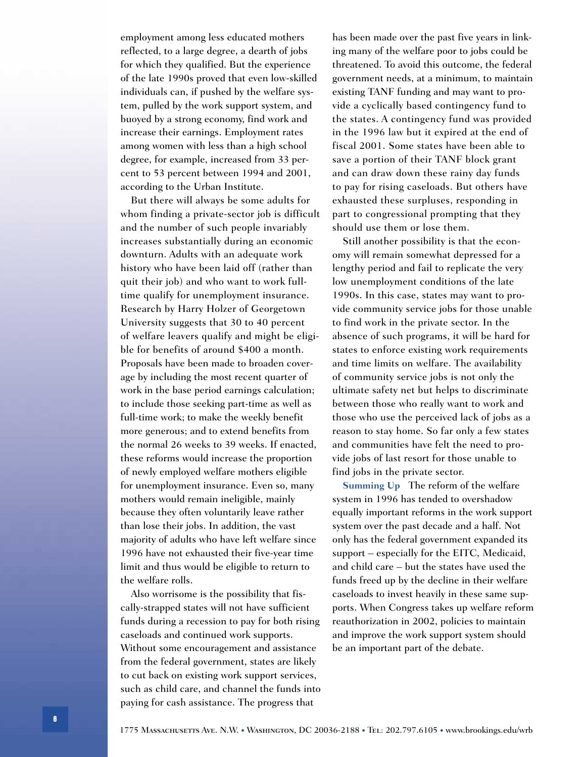employment among less educated mothers reflected, to a large degree, a dearth of jobs for which they qualified. But the experience of the late 1990s proved that even low-skilled individuals can, if pushed by the welfare system, pulled by the work support system, and buoyed by a strong economy, find work and increase their earnings. Employment rates among women with less than a high school degree, for example, increased from 33 percent to 53 percent between 1994 and 2001, according to the Urban Institute.

But there will always be some adults for whom finding a private-sector job is difficult and the number of such people invariably increases substantially during an economic downturn. Adults with an adequate work history who have been laid off (rather than quit their job) and who want to work fulltime qualify for unemployment insurance. Research by Harry Holzer of Georgetown University suggests that 30 to 40 percent of welfare leavers qualify and might be eligible for benefits of around \$400 a month. Proposals have been made to broaden coverage by including the most recent quarter of work in the base period earnings calculation; to include those seeking part-time as well as full-time work; to make the weekly benefit more generous; and to extend benefits from the normal 26 weeks to 39 weeks. If enacted, these reforms would increase the proportion of newly employed welfare mothers eligible for unemployment insurance. Even so, many mothers would remain ineligible, mainly because they often voluntarily leave rather than lose their jobs. In addition, the vast majority of adults who have left welfare since 1996 have not exhausted their five-year time limit and thus would be eligible to return to the welfare rolls.

Also worrisome is the possibility that fiscally-strapped states will not have sufficient funds during a recession to pay for both rising caseloads and continued work supports. Without some encouragement and assistance from the federal government, states are likely to cut back on existing work support services, such as child care, and channel the funds into paying for cash assistance. The progress that

has been made over the past five years in linking many of the welfare poor to jobs could be threatened. To avoid this outcome, the federal government needs, at a minimum, to maintain existing TANF funding and may want to provide a cyclically based contingency fund to the states. A contingency fund was provided in the 1996 law but it expired at the end of fiscal 2001. Some states have been able to save a portion of their TANF block grant and can draw down these rainy day funds to pay for rising caseloads. But others have exhausted these surpluses, responding in part to congressional prompting that they should use them or lose them.

Still another possibility is that the economy will remain somewhat depressed for a lengthy period and fail to replicate the very low unemployment conditions of the late 1990s. In this case, states may want to provide community service jobs for those unable to find work in the private sector. In the absence of such programs, it will be hard for states to enforce existing work requirements and time limits on welfare. The availability of community service jobs is not only the ultimate safety net but helps to discriminate between those who really want to work and those who use the perceived lack of jobs as a reason to stay home. So far only a few states and communities have felt the need to provide jobs of last resort for those unable to find jobs in the private sector.

**Summing Up** The reform of the welfare system in 1996 has tended to overshadow equally important reforms in the work support system over the past decade and a half. Not only has the federal government expanded its support – especially for the EITC, Medicaid, and child care – but the states have used the funds freed up by the decline in their welfare caseloads to invest heavily in these same supports. When Congress takes up welfare reform reauthorization in 2002, policies to maintain and improve the work support system should be an important part of the debate.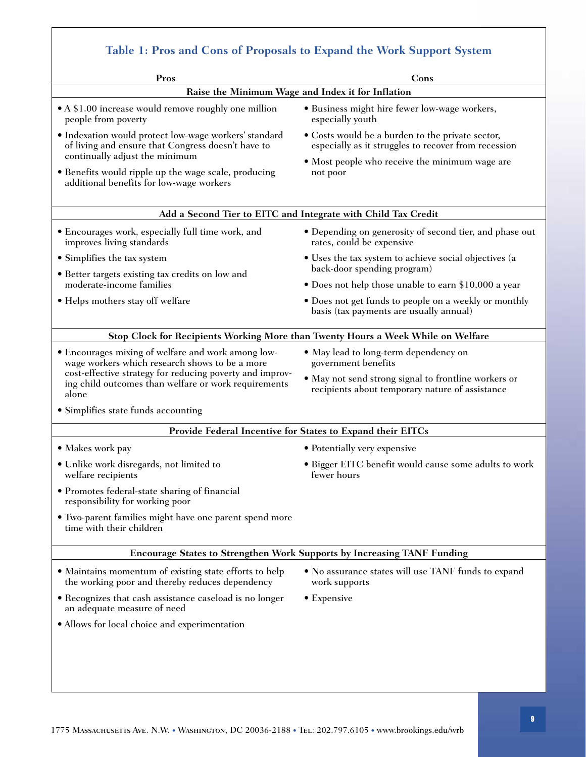| Pros                                                                                                                                                                                                                                              | Cons                                                                                                     |  |
|---------------------------------------------------------------------------------------------------------------------------------------------------------------------------------------------------------------------------------------------------|----------------------------------------------------------------------------------------------------------|--|
| Raise the Minimum Wage and Index it for Inflation                                                                                                                                                                                                 |                                                                                                          |  |
| • A \$1.00 increase would remove roughly one million<br>people from poverty                                                                                                                                                                       | • Business might hire fewer low-wage workers,<br>especially youth                                        |  |
| • Indexation would protect low-wage workers' standard<br>of living and ensure that Congress doesn't have to<br>continually adjust the minimum<br>• Benefits would ripple up the wage scale, producing<br>additional benefits for low-wage workers | • Costs would be a burden to the private sector,<br>especially as it struggles to recover from recession |  |
|                                                                                                                                                                                                                                                   | • Most people who receive the minimum wage are<br>not poor                                               |  |
| Add a Second Tier to EITC and Integrate with Child Tax Credit                                                                                                                                                                                     |                                                                                                          |  |
| • Encourages work, especially full time work, and<br>improves living standards                                                                                                                                                                    | • Depending on generosity of second tier, and phase out<br>rates, could be expensive                     |  |
| • Simplifies the tax system                                                                                                                                                                                                                       | • Uses the tax system to achieve social objectives (a<br>back-door spending program)                     |  |
| • Better targets existing tax credits on low and<br>moderate-income families                                                                                                                                                                      | • Does not help those unable to earn \$10,000 a year                                                     |  |
| • Helps mothers stay off welfare                                                                                                                                                                                                                  | • Does not get funds to people on a weekly or monthly<br>basis (tax payments are usually annual)         |  |
|                                                                                                                                                                                                                                                   | Stop Clock for Recipients Working More than Twenty Hours a Week While on Welfare                         |  |
| • Encourages mixing of welfare and work among low-<br>wage workers which research shows to be a more<br>cost-effective strategy for reducing poverty and improv-<br>ing child outcomes than welfare or work requirements<br>alone                 | • May lead to long-term dependency on<br>government benefits                                             |  |
|                                                                                                                                                                                                                                                   | • May not send strong signal to frontline workers or<br>recipients about temporary nature of assistance  |  |
| • Simplifies state funds accounting                                                                                                                                                                                                               |                                                                                                          |  |
| Provide Federal Incentive for States to Expand their EITCs                                                                                                                                                                                        |                                                                                                          |  |
| • Makes work pay                                                                                                                                                                                                                                  | • Potentially very expensive                                                                             |  |
| · Unlike work disregards, not limited to<br>welfare recipients                                                                                                                                                                                    | Bigger EITC benefit would cause some adults to work<br>fewer hours                                       |  |
| • Promotes federal-state sharing of financial<br>responsibility for working poor                                                                                                                                                                  |                                                                                                          |  |
| • Two-parent families might have one parent spend more<br>time with their children                                                                                                                                                                |                                                                                                          |  |
|                                                                                                                                                                                                                                                   | <b>Encourage States to Strengthen Work Supports by Increasing TANF Funding</b>                           |  |
| • Maintains momentum of existing state efforts to help<br>the working poor and thereby reduces dependency                                                                                                                                         | • No assurance states will use TANF funds to expand<br>work supports                                     |  |
| • Recognizes that cash assistance caseload is no longer<br>an adequate measure of need                                                                                                                                                            | • Expensive                                                                                              |  |
| • Allows for local choice and experimentation                                                                                                                                                                                                     |                                                                                                          |  |
|                                                                                                                                                                                                                                                   |                                                                                                          |  |

 $\sqrt{ }$ 

٦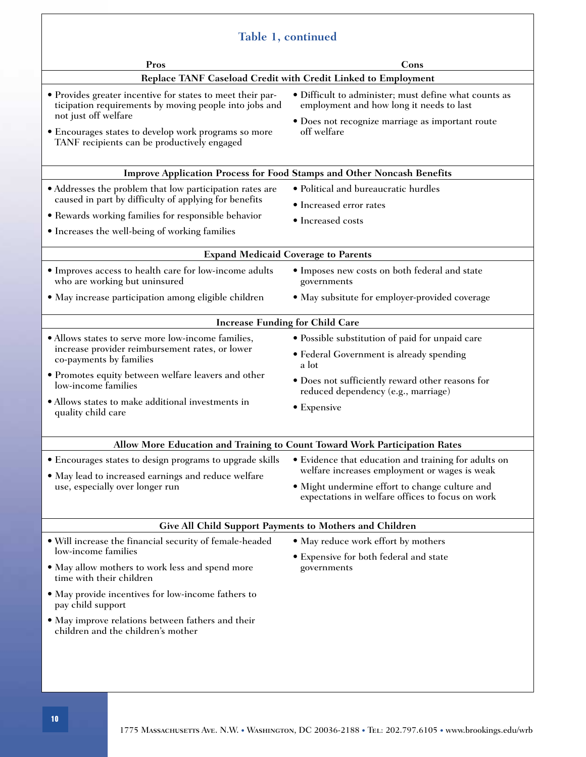| Table 1, continued                                                                                                                                                                                                                                  |                                                                                                    |  |
|-----------------------------------------------------------------------------------------------------------------------------------------------------------------------------------------------------------------------------------------------------|----------------------------------------------------------------------------------------------------|--|
| Pros                                                                                                                                                                                                                                                | Cons                                                                                               |  |
| Replace TANF Caseload Credit with Credit Linked to Employment                                                                                                                                                                                       |                                                                                                    |  |
| • Provides greater incentive for states to meet their par-<br>ticipation requirements by moving people into jobs and<br>not just off welfare<br>• Encourages states to develop work programs so more<br>TANF recipients can be productively engaged | • Difficult to administer; must define what counts as<br>employment and how long it needs to last  |  |
|                                                                                                                                                                                                                                                     | • Does not recognize marriage as important route<br>off welfare                                    |  |
| <b>Improve Application Process for Food Stamps and Other Noncash Benefits</b>                                                                                                                                                                       |                                                                                                    |  |
| • Addresses the problem that low participation rates are<br>caused in part by difficulty of applying for benefits                                                                                                                                   | • Political and bureaucratic hurdles                                                               |  |
|                                                                                                                                                                                                                                                     | • Increased error rates                                                                            |  |
| • Rewards working families for responsible behavior                                                                                                                                                                                                 | • Increased costs                                                                                  |  |
| • Increases the well-being of working families                                                                                                                                                                                                      |                                                                                                    |  |
| <b>Expand Medicaid Coverage to Parents</b>                                                                                                                                                                                                          |                                                                                                    |  |
| · Improves access to health care for low-income adults<br>who are working but uninsured                                                                                                                                                             | • Imposes new costs on both federal and state<br>governments                                       |  |
| • May increase participation among eligible children                                                                                                                                                                                                | • May subsitute for employer-provided coverage                                                     |  |
| <b>Increase Funding for Child Care</b>                                                                                                                                                                                                              |                                                                                                    |  |
| · Allows states to serve more low-income families,                                                                                                                                                                                                  | • Possible substitution of paid for unpaid care                                                    |  |
| increase provider reimbursement rates, or lower<br>co-payments by families                                                                                                                                                                          | • Federal Government is already spending<br>a lot                                                  |  |
| • Promotes equity between welfare leavers and other<br>low-income families                                                                                                                                                                          | • Does not sufficiently reward other reasons for<br>reduced dependency (e.g., marriage)            |  |
| • Allows states to make additional investments in<br>quality child care                                                                                                                                                                             | • Expensive                                                                                        |  |
|                                                                                                                                                                                                                                                     |                                                                                                    |  |
| Allow More Education and Training to Count Toward Work Participation Rates<br>• Evidence that education and training for adults on                                                                                                                  |                                                                                                    |  |
| • Encourages states to design programs to upgrade skills<br>• May lead to increased earnings and reduce welfare<br>use, especially over longer run                                                                                                  | welfare increases employment or wages is weak                                                      |  |
|                                                                                                                                                                                                                                                     | • Might undermine effort to change culture and<br>expectations in welfare offices to focus on work |  |
| <b>Give All Child Support Payments to Mothers and Children</b>                                                                                                                                                                                      |                                                                                                    |  |
| · Will increase the financial security of female-headed                                                                                                                                                                                             | • May reduce work effort by mothers                                                                |  |
| low-income families                                                                                                                                                                                                                                 | • Expensive for both federal and state                                                             |  |
| • May allow mothers to work less and spend more<br>time with their children                                                                                                                                                                         | governments                                                                                        |  |
| • May provide incentives for low-income fathers to<br>pay child support                                                                                                                                                                             |                                                                                                    |  |
| · May improve relations between fathers and their<br>children and the children's mother                                                                                                                                                             |                                                                                                    |  |
|                                                                                                                                                                                                                                                     |                                                                                                    |  |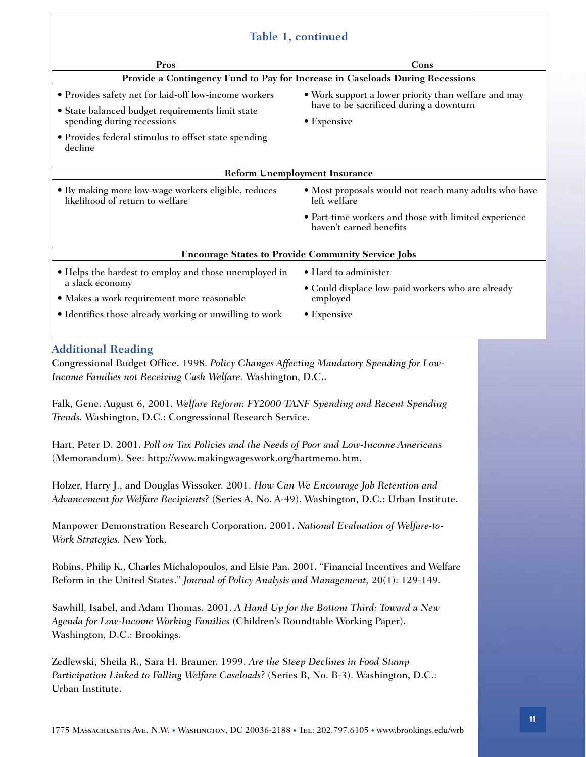#### **Table 1, continued**

| rable 1, continued                                                                                                                                                                              |                                                                                                                |  |
|-------------------------------------------------------------------------------------------------------------------------------------------------------------------------------------------------|----------------------------------------------------------------------------------------------------------------|--|
| Pros                                                                                                                                                                                            | Cons                                                                                                           |  |
| Provide a Contingency Fund to Pay for Increase in Caseloads During Recessions                                                                                                                   |                                                                                                                |  |
| • Provides safety net for laid-off low-income workers<br>· State balanced budget requirements limit state<br>spending during recessions<br>• Provides federal stimulus to offset state spending | • Work support a lower priority than welfare and may<br>have to be sacrificed during a downturn<br>• Expensive |  |
| decline                                                                                                                                                                                         |                                                                                                                |  |
| <b>Reform Unemployment Insurance</b>                                                                                                                                                            |                                                                                                                |  |
| • By making more low-wage workers eligible, reduces<br>likelihood of return to welfare                                                                                                          | • Most proposals would not reach many adults who have<br>left welfare                                          |  |
|                                                                                                                                                                                                 | • Part-time workers and those with limited experience<br>haven't earned benefits                               |  |
| <b>Encourage States to Provide Community Service Jobs</b>                                                                                                                                       |                                                                                                                |  |
| • Helps the hardest to employ and those unemployed in<br>a slack economy<br>• Makes a work requirement more reasonable<br>• Identifies those already working or unwilling to work               | • Hard to administer<br>• Could displace low-paid workers who are already<br>employed<br>$\bullet$ Expensive   |  |
|                                                                                                                                                                                                 |                                                                                                                |  |

#### **Additional Reading**

Congressional Budget Office. 1998. *Policy Changes Affecting Mandatory Spending for Low-Income Families not Receiving Cash Welfare.* Washington, D.C..

Falk, Gene. August 6, 2001. *Welfare Reform: FY2000 TANF Spending and Recent Spending Trends.* Washington, D.C.: Congressional Research Service.

Hart, Peter D. 2001. *Poll on Tax Policies and the Needs of Poor and Low-Income Americans* (Memorandum). See: http://www.makingwageswork.org/hartmemo.htm.

Holzer, Harry J., and Douglas Wissoker. 2001. *How Can We Encourage Job Retention and Advancement for Welfare Recipients?* (Series A, No. A-49). Washington, D.C.: Urban Institute.

Manpower Demonstration Research Corporation. 2001. *National Evaluation of Welfare-to-Work Strategies.* New York.

Robins, Philip K., Charles Michalopoulos, and Elsie Pan. 2001. "Financial Incentives and Welfare Reform in the United States." *Journal of Policy Analysis and Management,* 20(1): 129-149.

Sawhill, Isabel, and Adam Thomas. 2001. *A Hand Up for the Bottom Third: Toward a New Agenda for Low-Income Working Families* (Children's Roundtable Working Paper). Washington, D.C.: Brookings.

Zedlewski, Sheila R., Sara H. Brauner. 1999. *Are the Steep Declines in Food Stamp Participation Linked to Falling Welfare Caseloads?* (Series B, No. B-3). Washington, D.C.: Urban Institute.